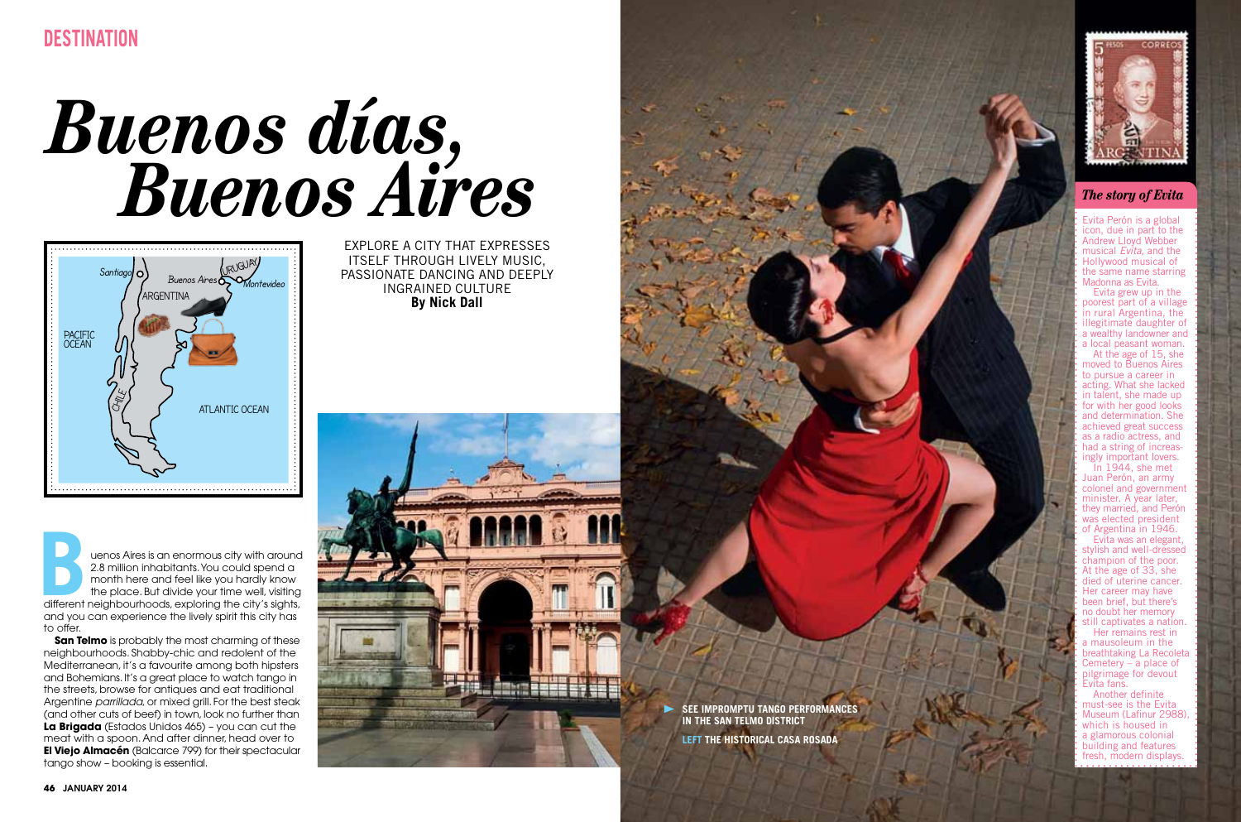# *Buenos días, Buenos Aires*



**B uenos Aires is an enormous city with around 2.8 million inhabitants. You could spend a month here and feel like you hardly know the place. But divide your time well, visiting different neighbourhoods, exploring the city** 2.8 million inhabitants. You could spend a month here and feel like you hardly know the place. But divide your time well, visiting and you can experience the lively spirit this city has to offer.

**San Telmo** is probably the most charming of these neighbourhoods. Shabby-chic and redolent of the Mediterranean, it's a favourite among both hipsters and Bohemians. It's a great place to watch tango in the streets, browse for antiques and eat traditional Argentine *parrillada*, or mixed grill. For the best steak (and other cuts of beef) in town, look no further than **La Brigada** (Estados Unidos 465) – you can cut the meat with a spoon. And after dinner, head over to **El Viejo Almacén** (Balcarce 799) for their spectacular tango show – booking is essential.

Explor e a city that expr ess es its elf through liv ely music, passionat e dancing and deeply ingrain ed cultur e **By Nick Dall**







# *The story of Evita*

Evita Perón is a global icon, due in part to the<br>Andrew Lloyd Webber<br>musical *Evita*, and the **Hollywood musical of** the same name starring Madonna as Evita.

Evita grew up in the poorest part of a village in rural Argentina, the illegitimate daughter of a wealthy landowner and<br>a local peasant woman. At the age of  $15$ , she moved to Buenos Aires to pursue a career in acting. What she lacked in talent, she made up for with her good looks and determination. She achieved great success as a radio actress, and had a string of increas-<br>ingly important lovers.  $\overline{\ln}$  1944, she met

Juan Perón, an army colonel and government minister. A year later, they married, and Perón was elected president of Argentina in 1946.

Evita was an elegant, stylish and well-dressed<br>champion of the poor. At the age of 33, she<br>died of uterine cancer Her career may have been brief, but there's no doubt her memory

still captivates a nation. Her remains rest in a mausoleum in the breathtaking La Recoleta Cemetery – a place of pilgrimage for devout Evita fans.<br>Another definite<br>must-see is the Evita Museum (Lafinur 2988), which is housed in a glamorous colonial building and features resh, modern displays.